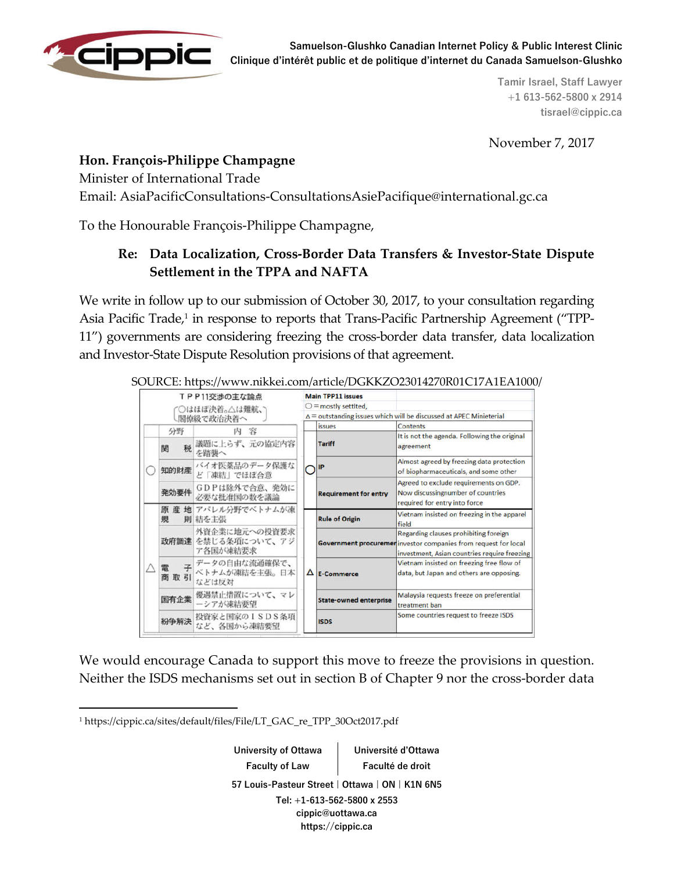

**Tamir Israel, Staff Lawyer +1 613-562-5800 x 2914 tisrael@cippic.ca**

November 7, 2017

## **Hon. François-Philippe Champagne**

Minister of International Trade

Email: AsiaPacificConsultations-ConsultationsAsiePacifique@international.gc.ca

To the Honourable François-Philippe Champagne,

## **Re: Data Localization, Cross-Border Data Transfers & Investor-State Dispute Settlement in the TPPA and NAFTA**

We write in follow up to our submission of October 30, 2017, to your consultation regarding Asia Pacific Trade,<sup>1</sup> in response to reports that Trans-Pacific Partnership Agreement ("TPP-11") governments are considering freezing the cross-border data transfer, data localization and Investor-State Dispute Resolution provisions of that agreement.

| TPP11交渉の主な論点<br>○はほぼ決着。△は難航、<br>閣僚級で政治決着へ |            |                                                 | <b>Main TPP11 issues</b>                                                              |                               |                                                                                                                                                          |
|-------------------------------------------|------------|-------------------------------------------------|---------------------------------------------------------------------------------------|-------------------------------|----------------------------------------------------------------------------------------------------------------------------------------------------------|
|                                           |            |                                                 |                                                                                       | $\bigcirc$ = mostly settlted. |                                                                                                                                                          |
|                                           |            |                                                 | $\Delta$ = outstanding issues which will be discussed at APEC Minieterial<br>Contents |                               |                                                                                                                                                          |
|                                           | 分野         | 内容                                              |                                                                                       | <i>issues</i>                 |                                                                                                                                                          |
|                                           | 税<br>関     | 議題に上らず、元の協定内容<br>を踏襲へ                           | $\bigcap$ IP                                                                          | <b>Tariff</b>                 | It is not the agenda. Following the original<br>agreement                                                                                                |
|                                           | 知的財産       | バイオ医薬品のデータ保護な<br>ど「凍結」でほぼ合意                     |                                                                                       |                               | Almost agreed by freezing data protection<br>of biopharmaceuticals, and some other                                                                       |
|                                           | 発効要件       | GDPは除外で合意、発効に<br>必要な批准国の数を議論                    |                                                                                       | <b>Requirement for entry</b>  | Agreed to exclude requirements on GDP.<br>Now discussing number of countries<br>required for entry into force                                            |
|                                           | 規          | 原産地 アパレル分野でベトナムが凍<br>則 結を主張                     |                                                                                       | <b>Rule of Origin</b>         | Vietnam insisted on freezing in the apparel<br>field                                                                                                     |
|                                           |            | 外資企業に地元への投資要求<br>政府調達 を禁じる条項について、アジ<br>ア各国が凍結要求 |                                                                                       |                               | Regarding clauses prohibiting foreign<br>Government procuremer investor companies from request for local<br>investment, Asian countries require freezing |
|                                           | 電 子<br>商取引 | データの自由な流通確保で、<br>ベトナムが凍結を主張。日本<br>などは反対         |                                                                                       | $\Delta$ E-Commerce           | Vietnam insisted on freezing free flow of<br>data, but Japan and others are opposing.                                                                    |
|                                           | 国有企業       | 優遇禁止措置について、マレ<br>ーシアが凍結要望                       |                                                                                       | <b>State-owned enterprise</b> | Malaysia requests freeze on preferential<br>treatment ban                                                                                                |
|                                           | 粉争解決       | 投資家と国家のISDS条項<br>など、各国から凍結要望                    |                                                                                       | <b>ISDS</b>                   | Some countries request to freeze ISDS                                                                                                                    |

SOURCE: https://www.nikkei.com/article/DGKKZO23014270R01C17A1EA1000/

We would encourage Canada to support this move to freeze the provisions in question. Neither the ISDS mechanisms set out in section B of Chapter 9 nor the cross-border data

**.** 

**University of Ottawa Faculty of Law** 

**Université d'Ottawa Faculté de droit**

**57 Louis-Pasteur Street | Ottawa | ON | K1N 6N5**

**Tel: +1-613-562-5800 x 2553 cippic@uottawa.ca https://cippic.ca**

<sup>1</sup> https://cippic.ca/sites/default/files/File/LT\_GAC\_re\_TPP\_30Oct2017.pdf